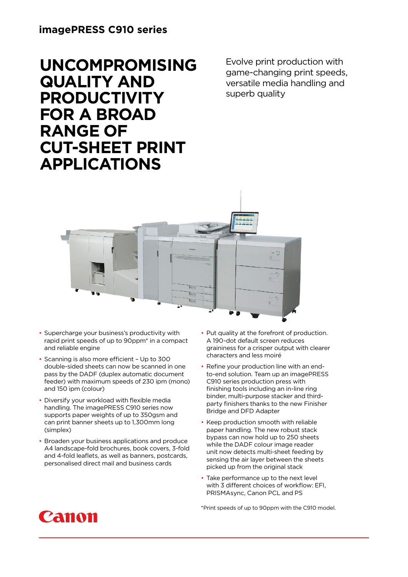#### **imagePRESS C910 series**

# **UNCOMPROMISING QUALITY AND PRODUCTIVITY FOR A BROAD RANGE OF CUT-SHEET PRINT APPLICATIONS**

Evolve print production with game-changing print speeds, versatile media handling and superb quality



- Supercharge your business's productivity with rapid print speeds of up to 90ppm\* in a compact and reliable engine
- Scanning is also more efficient Up to 300 double-sided sheets can now be scanned in one pass by the DADF (duplex automatic document feeder) with maximum speeds of 230 ipm (mono) and 150 ipm (colour)
- Diversify your workload with flexible media handling. The imagePRESS C910 series now supports paper weights of up to 350gsm and can print banner sheets up to 1,300mm long (simplex)
- Broaden your business applications and produce A4 landscape-fold brochures, book covers, 3-fold and 4-fold leaflets, as well as banners, postcards, personalised direct mail and business cards
- Put quality at the forefront of production. A 190-dot default screen reduces graininess for a crisper output with clearer characters and less moiré
- Refine your production line with an endto-end solution. Team up an imagePRESS C910 series production press with finishing tools including an in-line ring binder, multi-purpose stacker and thirdparty finishers thanks to the new Finisher Bridge and DFD Adapter
- Keep production smooth with reliable paper handling. The new robust stack bypass can now hold up to 250 sheets while the DADF colour image reader unit now detects multi-sheet feeding by sensing the air layer between the sheets picked up from the original stack
- Take performance up to the next level with 3 different choices of workflow: EFI, PRISMAsync, Canon PCL and PS

\*Print speeds of up to 90ppm with the C910 model.

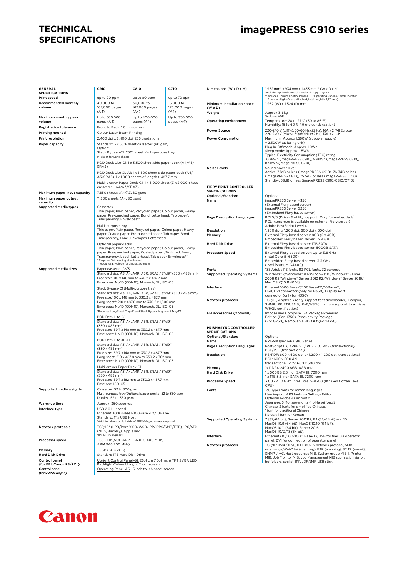#### **TECHNICAL SPECIFICATIONS**

## **imagePRESS C910 series**

| <b>GENERAL</b><br><b>SPECIFICATIONS</b>  | C910                                                                                                                                                                                                                                                             | C810                                                                                           | C710                        | Dimensions (W x D x H)             | 1,952 mm* x 934 mm x 1,433 mm** (W x D x H)<br>*Includes optional Control panel and Copy Tray-R2                             |
|------------------------------------------|------------------------------------------------------------------------------------------------------------------------------------------------------------------------------------------------------------------------------------------------------------------|------------------------------------------------------------------------------------------------|-----------------------------|------------------------------------|------------------------------------------------------------------------------------------------------------------------------|
| <b>Print speed</b>                       | up to 90 ppm                                                                                                                                                                                                                                                     | up to 80 ppm                                                                                   | up to 70 ppm                |                                    | ** Includes Upright Control Panel-G1 (If Operating Panel-A5 and Operator                                                     |
| Recommended monthly                      | 40,000 to                                                                                                                                                                                                                                                        | 30,000 to                                                                                      | 15,000 to                   | Minimum Installation space         | Attention Light-D1 are attached, total height is 1,712 mm)<br>1,952 (W) x 1,524 (D) mm                                       |
| volume                                   | 167,000 pages                                                                                                                                                                                                                                                    | 167,000 pages                                                                                  | 125,000 pages               | $(W \times D)$                     |                                                                                                                              |
|                                          | (A4)                                                                                                                                                                                                                                                             | (A4)                                                                                           | (A4)                        | Weight                             | Approx 316kg<br>*includes ADF                                                                                                |
| Maximum monthly peak<br>volume           | Up to 500,000<br>pages (A4)                                                                                                                                                                                                                                      | Up to 400,000<br>pages (A4)                                                                    | Up to 350,000<br>pages (A4) | Operating environment              | Temperature: 20 to 27°C (50 to 86°F)                                                                                         |
| <b>Registration tolerance</b>            | Front to Back: 1.0 mm or less                                                                                                                                                                                                                                    |                                                                                                |                             |                                    | Humidity: 15 to 60 % RH (no condensation)                                                                                    |
| Printing method                          | Colour Laser Beam Printing                                                                                                                                                                                                                                       |                                                                                                |                             | <b>Power Source</b>                | 220-240 V (±10%), 50/60 Hz (±2 Hz), 16A x 2 *All Europe<br>220-240 V (±10%), 50/60 Hz (±2 Hz), 13A x 2 *UK                   |
| <b>Print resolution</b>                  | 2,400 dpi x 2,400 dpi, 256 gradations                                                                                                                                                                                                                            |                                                                                                |                             | <b>Power Consumption</b>           | Maximum: Approx 1,560W (at power supply)                                                                                     |
| Paper capacity                           |                                                                                                                                                                                                                                                                  | Standard: 3 x 550-sheet cassettes (80 gsm)                                                     |                             |                                    | + 2,500W (at fusing unit)                                                                                                    |
|                                          | Option:                                                                                                                                                                                                                                                          |                                                                                                |                             |                                    | Plug In-Off mode: Approx. 1.0Wh<br>Sleep mode: Approx. 1.5Wh                                                                 |
|                                          | Stack Bypass-C1: 250* sheet Multi-purpose tray<br>(*1 sheet for Long sheet)<br>POD Deck Lite-C1: 1 x 3,500 sheet side paper deck (A4/A3/<br>SRA3<br>POD Deck Lite XL-A1: 1 x 3,500 sheet side paper deck (A4/<br>A3/SRA3), 1 x 1,000 sheets of length > 487.7 mm |                                                                                                |                             |                                    | Typical Electricity Consumption (TEC) rating:                                                                                |
|                                          |                                                                                                                                                                                                                                                                  |                                                                                                |                             |                                    | 10.7kWh (imagePRESS C910), 9.9kWh (imagePRESS C810),<br>8.9kWh (imagePRESS C710)                                             |
|                                          |                                                                                                                                                                                                                                                                  |                                                                                                |                             | <b>Noise Levels</b>                | Sound power level:                                                                                                           |
|                                          |                                                                                                                                                                                                                                                                  |                                                                                                |                             |                                    | Active: 77dB or less (imagePRESS C910), 76.3dB or less<br>(imagePRESS C810), 75.5dB or less (imagePRESS C710)                |
|                                          |                                                                                                                                                                                                                                                                  |                                                                                                |                             |                                    | Standby: 58dB or less (imagePRESS C910/C810/C710)                                                                            |
|                                          | Multi-drawer Paper Deck-C1: 1 x 6,000 sheet (3 x 2,000-sheet<br>cassettes - A4/A3/SRA3)                                                                                                                                                                          |                                                                                                |                             | FIERY PRINT CONTROLLER             |                                                                                                                              |
| Maximum paper input capacity             | 7,650 sheets (A4/A3, 80 gsm)                                                                                                                                                                                                                                     |                                                                                                |                             | <b>SPECIFICATIONS</b>              |                                                                                                                              |
| Maximum paper output                     | 11,200 sheets (A4, 80 gsm)                                                                                                                                                                                                                                       |                                                                                                |                             | Optional/Standard<br>Name          | Optional<br>imagePRESS Server H350                                                                                           |
| capacity                                 |                                                                                                                                                                                                                                                                  |                                                                                                |                             |                                    | (External Fiery based server)                                                                                                |
| Supported media types                    | Cassettes:                                                                                                                                                                                                                                                       | Thin paper, Plain paper, Recycled paper, Colour paper, Heavy                                   |                             |                                    | imagePRESS Server G250<br>(Embedded Fiery based server)                                                                      |
|                                          |                                                                                                                                                                                                                                                                  | paper, Pre-punched paper, Bond, Letterhead, Tab paper*,                                        |                             | <b>Page Description Languages</b>  | PCL5/6 (Driver & utility support : Only for embedded/                                                                        |
|                                          | Transparency, Envelopes**                                                                                                                                                                                                                                        |                                                                                                |                             |                                    | PCL interpreter is available on external Fiery server)                                                                       |
|                                          | Multi-purpose tray :                                                                                                                                                                                                                                             | Thin paper, Plain paper, Recycled paper, Colour paper, Heavy                                   |                             | Resolution                         | Adobe PostScript Level 4<br>1,200 dpi x 1,200 dpi, 600 dpi x 600 dpi                                                         |
|                                          |                                                                                                                                                                                                                                                                  | paper, Coated paper, Pre-punched paper, Tab paper, Bond,                                       |                             | Memory                             | External Fiery based server: 8GB (2 x 4GB)                                                                                   |
|                                          |                                                                                                                                                                                                                                                                  | Transparency, Label, Envelopes, Letterhead                                                     |                             |                                    | Embedded Fiery based server: 1 x 4 GB                                                                                        |
|                                          | Optional paper decks:<br>Thin paper, Plain paper, Recycled paper, Colour paper, Heavy                                                                                                                                                                            |                                                                                                |                             | <b>Hard Disk Drive</b>             | External Fiery based server: ITB SATA<br>Embedded Fiery based server: 500GB SATA                                             |
|                                          |                                                                                                                                                                                                                                                                  | paper, Pre-punched paper, Coated paper, Textured, Bond,                                        |                             | <b>Processor Speed</b>             | External Fiery based server: Up to 3.6 GHz                                                                                   |
|                                          | * Requires Tab feeding attachment                                                                                                                                                                                                                                | Transparency, Label, Letterhead, Tab paper, Envelopes**                                        |                             |                                    | (Intel Core i5-6500)<br>Embedded Fiery based server: 3.3 GHz                                                                 |
|                                          | ** Requires Envelope feeding attachment                                                                                                                                                                                                                          |                                                                                                |                             |                                    | (Intel Pentium G4400)                                                                                                        |
| Supported media sizes                    | Paper cassette 1/2/3                                                                                                                                                                                                                                             | Standard size: A3, A4, A4R, A5R, SRA3, 13"x19" (330 x 483 mm)                                  |                             | Fonts                              | 138 Adobe PS fonts, 113 PCL fonts, 32 barcode                                                                                |
|                                          |                                                                                                                                                                                                                                                                  | Free size: 100 x 148 mm to 330.2 x 487.7 mm                                                    |                             | <b>Supported Operating Systems</b> | Windows* 7/Windows* 8.1/Windows*10/Windows* Server<br>2008 R2/Windows® Server 2012 R2/Windows® Server 2016/                  |
|                                          |                                                                                                                                                                                                                                                                  | Envelopes: No.10 (COM10), Monarch, DL, ISO-C5                                                  |                             |                                    | Mac OS X(10.11-10.14)                                                                                                        |
|                                          | Stack Bypass-C1 (Multi-purpose tray)<br>Standard size: A3, A4, A4R, A5R, SRA3, 13"x19" (330 x 483 mm)<br>Free size: 100 x 148 mm to 330.2 x 487.7 mm<br>Long sheet*: 210 x 487.8 mm to 330.2 x 1,300 mm                                                          |                                                                                                |                             | Interface                          | Ethernet 1000 Base-T/100Base-TX/10Base-T,<br>USB, DVI connector (only for H350), Display Port                                |
|                                          |                                                                                                                                                                                                                                                                  |                                                                                                |                             |                                    | connector (only for H350)                                                                                                    |
|                                          |                                                                                                                                                                                                                                                                  |                                                                                                |                             | Network protocols                  | TCP/IP, AppleTalk (only support font downloader), Bonjour,<br>SNMP, IPP, FTP, SMB, IPv6,WSD(minimum support to achieve       |
|                                          |                                                                                                                                                                                                                                                                  | Envelopes: No.10 (COM10), Monarch, DL, ISO-C5                                                  |                             |                                    | WHQL certification)                                                                                                          |
|                                          | POD Deck Lite-C1                                                                                                                                                                                                                                                 | *Requires Long Sheet Tray-B1 and Stack Bypass Alignment Tray-D1                                |                             | EFI accessories (Optional)         | Impose and Compose, GA Package Premium                                                                                       |
|                                          |                                                                                                                                                                                                                                                                  | Standard size: A3, A4, A4R, A5R, SRA3, 13"x19"                                                 |                             |                                    | Edition (For H350), Productivity Package<br>(For G250), Removable HDD Kit (For H350)                                         |
|                                          | $(330 \times 483 \text{ mm})$                                                                                                                                                                                                                                    |                                                                                                |                             | PRISMASYNC CONTROLLER              |                                                                                                                              |
|                                          |                                                                                                                                                                                                                                                                  | Free size: 139.7 x 148 mm to 330.2 x 487.7 mm<br>Envelopes: No.10 (COM10), Monarch, DL, ISO-C5 |                             | <b>SPECIFICATIONS</b>              |                                                                                                                              |
|                                          | POD Deck Lite XL-A1                                                                                                                                                                                                                                              |                                                                                                |                             | Optional/Standard<br>Name          | Optional<br>PRISMAsync iPR C910 Series                                                                                       |
|                                          |                                                                                                                                                                                                                                                                  | Standard size: A3, A4, A4R, A5R, SRA3, 13"x19"                                                 |                             | <b>Page Description Languages</b>  | PostScript L3, APPE 5.1 / PDF 2.0, IPDS (transactional),                                                                     |
|                                          | $(330 \times 483 \text{ mm})$                                                                                                                                                                                                                                    | Free size: 139.7 x 148 mm to 330.2 x 487.7 mm                                                  |                             |                                    | PCL/PJL (transactional)                                                                                                      |
|                                          |                                                                                                                                                                                                                                                                  | Long sheet: 210 x 487.8 mm to 330.2 x 762 mm                                                   |                             | Resolution                         | PS/PDF: 600 x 600 dpi or 1,200 x 1,200 dpi, transactional<br>PCL: 600 x 600 dpi.                                             |
|                                          |                                                                                                                                                                                                                                                                  | Envelopes: No.10 (COM10), Monarch, DL, ISO-C5                                                  |                             |                                    | transactional IPDS: 600 x 600 dpi                                                                                            |
|                                          | Multi-drawer Paper Deck-C1                                                                                                                                                                                                                                       | Standard size: A3, A4, A4R, A5R, SRA3, 13"x19"                                                 |                             | Memory<br><b>Hard Disk Drive</b>   | 1x DDR4-2400 8GB, 8GB total<br>1 x 500GB 2.5 inch SATA III, 7200 rpm                                                         |
|                                          | (330 x 483 mm)                                                                                                                                                                                                                                                   |                                                                                                |                             |                                    | 1 x 1TB 3.5 inch SATA III, 7200 rpm                                                                                          |
|                                          | Envelope: ISO-C5                                                                                                                                                                                                                                                 | Free size: 139.7 x 182 mm to 330.2 x 487.7 mm                                                  |                             | <b>Processor Speed</b>             | 3.00 - 4.10 GHz, Intel Core i5-8500 (8th Gen Coffee Lake                                                                     |
| Supported media weights                  | Cassettes: 52 to 300 gsm                                                                                                                                                                                                                                         |                                                                                                |                             | Fonts                              | CPU)<br>136 Type1 fonts for roman languages                                                                                  |
|                                          | Duplex: 52 to 350 gsm                                                                                                                                                                                                                                            | Multi-purpose tray/Optional paper decks: 52 to 350 gsm                                         |                             |                                    | User import of PS fonts via Settings Editor                                                                                  |
| Warm-up time                             | Approx. 360 seconds                                                                                                                                                                                                                                              |                                                                                                |                             |                                    | Optional Adobe Asian fonts:<br>Japanese: 5 Morisawa fonts (no Heisei fonts)                                                  |
| Interface type                           | USB 2.0 Hi-speed                                                                                                                                                                                                                                                 |                                                                                                |                             |                                    | Chinese: 2 fonts for simplified Chinese,                                                                                     |
|                                          |                                                                                                                                                                                                                                                                  | Ethernet: 1000 BaseT/100Base -TX/10Base-T                                                      |                             |                                    | 1 font for traditional Chinese<br>Korean: 1 font for Korean                                                                  |
|                                          | Standard: 1* x USB Host                                                                                                                                                                                                                                          | *Additional one on left side of PRISMAsync operation panel                                     |                             | <b>Supported Operating Systems</b> | 7 (32/64 bit), Server 2012R2, 8.1 (32/64bit) and 10                                                                          |
| Network protocols                        |                                                                                                                                                                                                                                                                  | TCP/IP* (LPD/Port 9100/WSD/IPP/IPPS/SMB/FTP), IPX/SPX                                          |                             |                                    | MacOS 10.9 (64 bit), MacOS 10.10 (64 bit),<br>MacOS 10.11 (64 bit). Server 2016.                                             |
|                                          | (NDS, Bindery), AppleTalk                                                                                                                                                                                                                                        |                                                                                                |                             |                                    | MacOS 10.12/13 (64 bit),                                                                                                     |
|                                          | *IPv4/IPv6 support                                                                                                                                                                                                                                               |                                                                                                |                             | Interface                          | Ethernet (10/100/1000 Base-T), USB for files via operator                                                                    |
| Processor speed                          | ARM 946 200 MHz)                                                                                                                                                                                                                                                 | 1.66 GHz (SOC ARM 1136JF-S 400 MHz,                                                            |                             | Network protocols                  | panel, DVI for connection of operator panel<br>TCP/IP: IPv4 / IPv6, IEEE 802.1x network protocol, SMB                        |
| Memory                                   | 1.5GB (SOC 2GB)                                                                                                                                                                                                                                                  |                                                                                                |                             |                                    | (scanning), WebDAV (scanning), FTP (scanning), SMTP (e-mail),                                                                |
| <b>Hard Disk Drive</b>                   | Standard ITB Hard Disk Drive                                                                                                                                                                                                                                     |                                                                                                |                             |                                    | SNMP v1/v3, Host resources MIB, System group MIB II, Printer<br>MIB, Job Monitor MIB, Job Management MIB submission via lpr, |
| Control panel<br>(for EFI, Canon PS/PCL) | Backlight Colour Upright Touchscreen                                                                                                                                                                                                                             | Upright Control Panel-G1: 26.4 cm (10.4 inch) TFT SVGA LED                                     |                             |                                    | hotfolders, socket, IPP, JDF/JMF, USB stick.                                                                                 |
| Control panel                            |                                                                                                                                                                                                                                                                  | Operating Panel-A5: 15 inch touch panel screen                                                 |                             |                                    |                                                                                                                              |
| (for PRISMAsync)                         |                                                                                                                                                                                                                                                                  |                                                                                                |                             |                                    |                                                                                                                              |

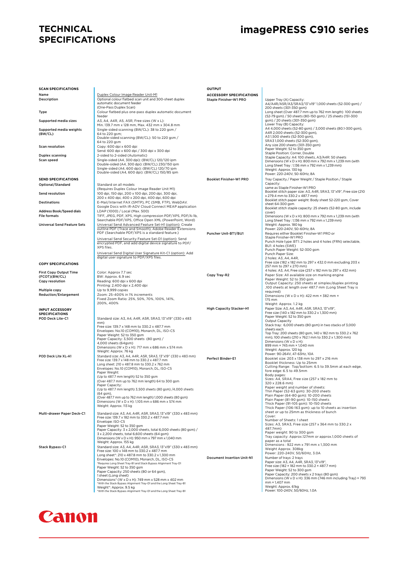#### **TECHNICAL SPECIFICATIONS**

## **imagePRESS C910 series**

| <b>SCAN SPECIFICATIONS</b>                     |                                                                                                                     | <b>OUTPUT</b>                   |                                                                                                                        |
|------------------------------------------------|---------------------------------------------------------------------------------------------------------------------|---------------------------------|------------------------------------------------------------------------------------------------------------------------|
| Name                                           | Duplex Colour Image Reader Unit-M1                                                                                  | <b>ACCESSORY SPECIFICATIONS</b> |                                                                                                                        |
| Description                                    | Optional colour flatbed scan unit and 300-sheet duplex<br>automatic document feeder                                 | Staple Finisher-W1 PRO          | Upper Tray (A) Capacity:<br>A4/A4R/A5R/A3/SRA3/13"x19"1,000 sheets (52-300 gsm) /                                      |
|                                                | (One-Pass Duplex Scan)                                                                                              |                                 | 200 sheets (301-350 gsm)                                                                                               |
| Type                                           | Colour flatbed plus one-pass duplex automatic document<br>feeder                                                    |                                 | Long sheet (Over 487.7 mm up to 762 mm length) 100 sheets<br>(52-79 gsm) / 50 sheets (80-150 gsm) / 25 sheets (151-300 |
| Supported media sizes                          | A3, A4, A4R, A5, A5R, Free sizes (W x L):                                                                           |                                 | gsm) / 20 sheets (301-350 gsm)                                                                                         |
| Supported media weights                        | Min. 139.7 mm x 128 mm, Max. 432 mm x 304.8 mm<br>Single-sided scanning (BW/CL): 38 to 220 gsm /                    |                                 | Lower Tray (B) Capacity:<br>A4 4,000 sheets (52-80 gsm) / 3,000 sheets (80.1-300 gsm),                                 |
| (BW/CL)                                        | 64 to 220 gsm;                                                                                                      |                                 | A4R 2,000 sheets (52-300 gsm),<br>A31,500 sheets (52-300 gsm),                                                         |
|                                                | Double-sided scanning (BW/CL): 50 to 220 gsm /<br>64 to 220 gsm                                                     |                                 | SRA3 1,000 sheets (52-300 gsm),                                                                                        |
| <b>Scan resolution</b>                         | Copy: 600 dpi x 600 dpi                                                                                             |                                 | Any size 200 sheets (301-350 gsm)<br>Paper Weight: 52 to 350 gsm                                                       |
| Duplex scanning                                | Send: 600 dpi x 600 dpi / 300 dpi x 300 dpi<br>2-sided to 2-sided (Automatic)                                       |                                 | Staple Position: Corner, Double                                                                                        |
| Scan speed                                     | Single-sided (A4, 300 dpi): (BW/CL) 120/120 ipm                                                                     |                                 | Staple Capacity: A4: 100 sheets, A3/A4R: 50 sheets<br>Dimensions (W x D x H): 800 mm x 792 mm x 1,239 mm (with         |
|                                                | Double-sided (A4, 300 dpi): (BW/CL) 230/150 ipm<br>Single-sided (A4, 600 dpi): (BW/CL) 120/70 ipm                   |                                 | Long Sheet Tray: 1,136 mm x 792 mm x 1,239 mm)                                                                         |
|                                                | Double-sided (A4, 600 dpi): (BW/CL) 150/85 ipm                                                                      |                                 | Weight: Approx. 130 kg<br>Power: 220-240V, 50-60Hz, 8A                                                                 |
| <b>SEND SPECIFICATIONS</b>                     |                                                                                                                     | Booklet Finisher-W1 PRO         | Tray Capacity / Paper Weight / Staple Position / Staple                                                                |
| Optional/Standard                              | Standard on all models                                                                                              |                                 | Capacity:<br>same as Staple Finisher-W1 PRO                                                                            |
| Send resolution                                | (Requires Duplex Colour Image Reader Unit M1)<br>100 dpi, 150 dpi, 200 x 100 dpi, 200 dpi, 300 dpi,                 |                                 | Booklet stitch paper size: A3, A4R, SRA3, 13"x19", Free size (210                                                      |
|                                                | 200 x 400 dpi, 400 x 200 dpi, 400 dpi, 600 dpi                                                                      |                                 | x 279.4 mm to 330.2 x 487.7 mm)<br>Booklet stitch paper weight: Body sheet 52-220 gsm, Cover                           |
| <b>Destinations</b>                            | E-Mail/Internet FAX (SMTP), PC (SMB, FTP), WebDAV.<br>Google Docs with iR-ADV Cloud Connect MEAP application        |                                 | sheet 64-300 gsm<br>Booklet stitch staple capacity: 25 sheets (52-80 gsm, include                                      |
| Address Book/Speed dials                       | LDAP (1000) / Local (Max. 500)                                                                                      |                                 | cover)                                                                                                                 |
| <b>File formats</b>                            | TIFF, JPEG, PDF, XPS, High compression PDF/XPS, PDF/A-1b,<br>Searchable PDF/XPS, Office Open XML (PowerPoint, Word) |                                 | Dimensions (W x D x H): 800 mm x 792 mm x 1,239 mm (with<br>Long Sheet Tray: 1,136 mm x 792 mm x 1,239 mm)             |
| <b>Universal Send Feature Sets</b>             | Universal Send Advanced Feature Set-H1 (option): Create                                                             |                                 | Weight: Approx. 180 kg                                                                                                 |
|                                                | outline PDF (Trace and Smooth), Adobe Reader Extensions<br>PDF (Searchable PDF/XPS is a standard feature.)          | Puncher Unit-BT1/BU1            | Power: 220-240V, 50-60Hz, 8A<br>Requires either Booklet Finisher-W1 PRO or                                             |
|                                                | Universal Send Security Feature Set-D1 (option): Send                                                               |                                 | Staple Finisher-W1 PRO                                                                                                 |
|                                                | encrypted PDF, and add digital device signature to PDF/                                                             |                                 | Punch Hole type: BT1: 2 holes and 4 holes (FRN) selectable,<br>BU1: 4 holes (SWE)                                      |
|                                                | XPS files.<br>Universal Send Digital User Signature Kit-C1 (option): Add                                            |                                 | Punch Paper Weight: 52-300 gsm                                                                                         |
|                                                | digital user signature to PDF/XPS files.                                                                            |                                 | Punch Paper Size:<br>2 holes: A3, A4, A4R,                                                                             |
| <b>COPY SPECIFICATIONS</b>                     |                                                                                                                     |                                 | Free size (182 x 182 mm to 297 x 432.0 mm excluding 203 x                                                              |
|                                                |                                                                                                                     |                                 | 257 mm to 297 x 270 mm)<br>4 holes: A3, A4, Free size (257 x 182 mm to 297 x 432 mm)                                   |
| <b>First Copy Output Time</b><br>(FCOT)(BW/CL) | Color: Approx 7.7 sec<br>BW: Approx. 6.9 sec                                                                        | Copy Tray-R2                    | Paper Size: All available size on marking engine                                                                       |
| Copy resolution                                | Reading: 600 dpi x 600 dpi<br>Printing: 2,400 dpi x 2,400 dpi                                                       |                                 | Paper Weight: 52 to 350 gsm<br>Output Capacity: 250 sheets at simplex/duplex printing                                  |
| Multiple copy                                  | Up to 9,999 copies                                                                                                  |                                 | ,100 sheets at length over 487.7 mm (Long Sheet Tray is<br>required)                                                   |
| <b>Reduction/Enlargement</b>                   | Zoom: 25-400% in 1% increments                                                                                      |                                 | Dimensions (W x D x H): 422 mm × 382 mm ×                                                                              |
|                                                | Fixed Zoom Ratio: 25%, 50%, 70%, 100%, 141%,<br>200%, 400%                                                          |                                 | 175 mm<br>Weight: Approx. 1.2 kg                                                                                       |
| <b>INPUT ACCESSORY</b>                         |                                                                                                                     | <b>High Capacity Stacker-H1</b> | Paper Size: A3, A4, A4R, A5R, SRA3, 13"x19",                                                                           |
| <b>SPECIFICATIONS</b>                          |                                                                                                                     |                                 | Free size (140 x 182 mm to 330.2 x 1,300 mm)<br>Paper Weight: 52 to 350 gsm                                            |
| POD Deck Lite-C1                               | Standard size: A3, A4, A4R, A5R, SRA3, 13"x19" (330 x 483<br>mm)                                                    |                                 | Output Capacity                                                                                                        |
|                                                | Free size: 139.7 x 148 mm to 330.2 x 487.7 mm<br>Envelopes: No.10 (COM10), Monarch, DL, ISO-C5                      |                                 | Stack tray: 6,000 sheets (80 gsm) in two stacks of 3,000<br>sheets each                                                |
|                                                | Paper Weight: 52 to 350 gsm                                                                                         |                                 | Top Tray: 200 sheets (80 gsm, 140 x 182 mm to 330.2 x 762<br>mm), 100 sheets (210 x 762.1 mm to 330.2 x 1,300 mm)      |
|                                                | Paper Capacity: 3,500 sheets (80 gsm) /<br>4,000 sheets (64gsm)                                                     |                                 | Dimensions (W x D x H):                                                                                                |
|                                                | Dimensions (W x D x H): 717 mm x 686 mm x 574 mm                                                                    |                                 | 899 mm × 745 mm × 1,040 mm<br>Weight: Approx. 120 kg                                                                   |
| POD Deck Lite XL-A1                            | Weight: Approx. 76 kg<br>Standard size: A3, A4, A4R, A5R, SRA3, 13"x19" (330 x 483 mm)                              |                                 | Power: 90-264V, 47-63Hz, 10A                                                                                           |
|                                                | Free size: 139.7 x 148 mm to 330.2 x 487.7 mm                                                                       | Perfect Binder-E1               | Booklet size: 203 x 138 mm to 297 x 216 mm<br>Booklet thickness: Up to 25mm                                            |
|                                                | Long sheet: 210 x 487.8 mm to 330.2 x 762 mm<br>Envelopes: No.10 (COM10), Monarch, DL, ISO-C5                       |                                 | Cutting Range: Top/bottom: 6.5 to 39.5mm at each edge,                                                                 |
|                                                | Paper Weight:<br>(Up to 487.7 mm length) 52 to 350 gsm                                                              |                                 | fore edge: 6.5 to 49.5mm<br>Body pages:                                                                                |
|                                                | (Over 487.7 mm up to 762 mm length) 64 to 300 gsm                                                                   |                                 | Sizes: A4, SRA4, Free size (257 x 182 mm to                                                                            |
|                                                | Paper Capacity:<br>(Up to 487.7 mm length) 3,500 sheets (80 gsm) /4,000 sheets                                      |                                 | 320 x 228.6 mm)<br>Paper weight and number of sheets:                                                                  |
|                                                | (64 gsm),                                                                                                           |                                 | Thin Paper (52-63 gsm): 30-200 sheets<br>Plain Paper (64-80 gsm): 10-200 sheets                                        |
|                                                | (Over 487.7 mm up to 762 mm length) 1,000 sheets (80 gsm)<br>Dimensions (W x D x H): 1,105 mm x 686 mm x 574 mm     |                                 | Plain Paper (81-90 gsm): 10-150 sheets                                                                                 |
|                                                | Weight: Approx. 113 kg                                                                                              |                                 | Thick Paper (91-105 gsm): 10-150 sheets<br>Thick Paper (106-163 gsm): up to 10 sheets as insertion                     |
| Multi-drawer Paper Deck-C1                     | Standard size: A3, A4, A4R, A5R, SRA3, 13"x19" (330 x 483 mm)                                                       |                                 | sheet or up to 25mm as thickness of bunch                                                                              |
|                                                | Free size: 139.7 x 182 mm to 330.2 x 487.7 mm<br>Envelope: ISO-C5                                                   |                                 | Cover:<br>Number of Sheets: 1 sheet                                                                                    |
|                                                | Paper Weight: 52 to 350 gsm                                                                                         |                                 | Sizes: A3, SRA3, Free size (257 x 364 mm to 330.2 x<br>487.7mm)                                                        |
|                                                | Paper Capacity: 3 x 2,000 sheets, total 6,000 sheets (80 gsm) /<br>3 x 2,200 sheets, total 6,600 sheets (64 gsm)    |                                 | Paper weight: 90 to 300 gsm                                                                                            |
|                                                | Dimensions (W x D x H): 950 mm x 797 mm x 1,040 mm                                                                  |                                 | Tray capacity: Approx.127mm or approx.1,000 sheets of<br>paper as a total                                              |
| <b>Stack Bypass-C1</b>                         | Weight: Approx. 155 kg<br>Standard size: A3, A4, A4R, A5R, SRA3, 13"x19" (330 x 483 mm)                             |                                 | Dimensions: 922 mm x 791 mm x 1,300 mm                                                                                 |
|                                                | Free size: 100 x 148 mm to 330.2 x 487.7 mm                                                                         |                                 | Weight Approx. 308kg<br>Power: 220-240V, 50/60Hz, 3.0A                                                                 |
|                                                | Long sheet*: 210 x 487.8 mm to 330.2 x 1,300 mm<br>Envelopes: No.10 (COM10), Monarch, DL, ISO-C5                    | Document Insertion Unit-N1      | Number of trays: 2 trays                                                                                               |
|                                                | *Requires Long Sheet Tray-B1 and Stack Bypass Alignment Tray-D1<br>Paper Weight: 52 to 350 gsm                      |                                 | Paper size: A3, A4, A4R, SRA3, 13"x19",<br>Free size (182 × 182 mm to 330.2 × 487.7 mm)                                |
|                                                | Paper Capacity: 250 sheets (80 or 64 gsm),                                                                          |                                 | Paper Weight: 52 to 300 gsm                                                                                            |
|                                                | 1 sheet (Long sheet)<br>Dimensions* (W x D x H): 749 mm x 528 mm x 402 mm                                           |                                 | Paper Capacity: 200 sheets x 2 trays (80 gsm)<br>Dimensions (W x D x H): 336 mm (746 mm including Tray) × 793          |
|                                                | *With the Stack Bypass Alignment Tray-D1 and the Long Sheet Tray-B1                                                 |                                 | mm × 1,407 mm<br>Weight: Approx. 61kg                                                                                  |
|                                                | Weight*: Approx. 9.5 kg<br>*With the Stack Bypass Alignment Tray-D1 and the Long Sheet Tray-B1                      |                                 | Power: 100-240V, 50/60Hz, 1.0A                                                                                         |